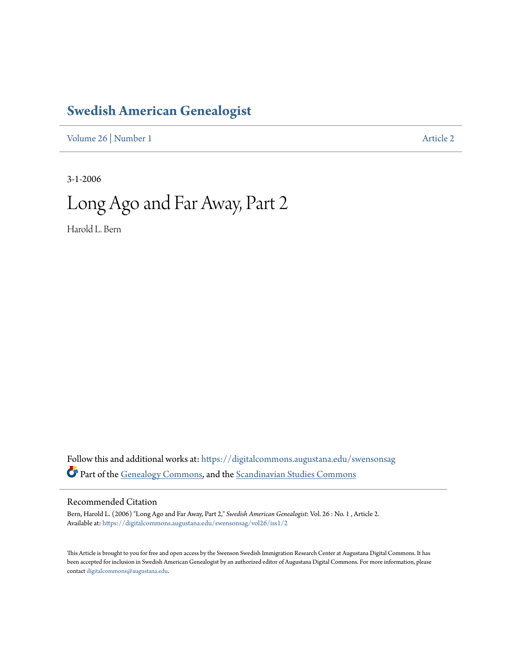# **[Swedish American Genealogist](https://digitalcommons.augustana.edu/swensonsag?utm_source=digitalcommons.augustana.edu%2Fswensonsag%2Fvol26%2Fiss1%2F2&utm_medium=PDF&utm_campaign=PDFCoverPages)**

[Volume 26](https://digitalcommons.augustana.edu/swensonsag/vol26?utm_source=digitalcommons.augustana.edu%2Fswensonsag%2Fvol26%2Fiss1%2F2&utm_medium=PDF&utm_campaign=PDFCoverPages) | [Number 1](https://digitalcommons.augustana.edu/swensonsag/vol26/iss1?utm_source=digitalcommons.augustana.edu%2Fswensonsag%2Fvol26%2Fiss1%2F2&utm_medium=PDF&utm_campaign=PDFCoverPages) [Article 2](https://digitalcommons.augustana.edu/swensonsag/vol26/iss1/2?utm_source=digitalcommons.augustana.edu%2Fswensonsag%2Fvol26%2Fiss1%2F2&utm_medium=PDF&utm_campaign=PDFCoverPages)

3-1-2006

# Long Ago and Far Away, Part 2

Harold L. Bern

Follow this and additional works at: [https://digitalcommons.augustana.edu/swensonsag](https://digitalcommons.augustana.edu/swensonsag?utm_source=digitalcommons.augustana.edu%2Fswensonsag%2Fvol26%2Fiss1%2F2&utm_medium=PDF&utm_campaign=PDFCoverPages) Part of the [Genealogy Commons](http://network.bepress.com/hgg/discipline/1342?utm_source=digitalcommons.augustana.edu%2Fswensonsag%2Fvol26%2Fiss1%2F2&utm_medium=PDF&utm_campaign=PDFCoverPages), and the [Scandinavian Studies Commons](http://network.bepress.com/hgg/discipline/485?utm_source=digitalcommons.augustana.edu%2Fswensonsag%2Fvol26%2Fiss1%2F2&utm_medium=PDF&utm_campaign=PDFCoverPages)

#### Recommended Citation

Bern, Harold L. (2006) "Long Ago and Far Away, Part 2," *Swedish American Genealogist*: Vol. 26 : No. 1 , Article 2. Available at: [https://digitalcommons.augustana.edu/swensonsag/vol26/iss1/2](https://digitalcommons.augustana.edu/swensonsag/vol26/iss1/2?utm_source=digitalcommons.augustana.edu%2Fswensonsag%2Fvol26%2Fiss1%2F2&utm_medium=PDF&utm_campaign=PDFCoverPages)

This Article is brought to you for free and open access by the Swenson Swedish Immigration Research Center at Augustana Digital Commons. It has been accepted for inclusion in Swedish American Genealogist by an authorized editor of Augustana Digital Commons. For more information, please contact [digitalcommons@augustana.edu.](mailto:digitalcommons@augustana.edu)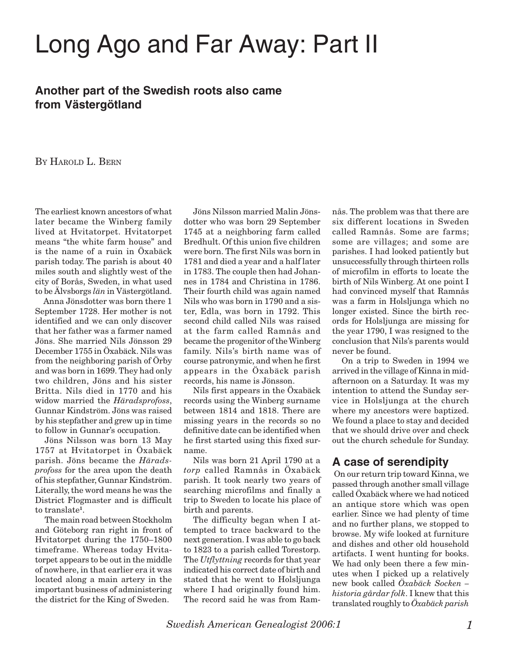# Long Ago and Far Away: Part II

## **Another part of the Swedish roots also came from Västergötland**

BY HAROLD L. BERN

The earliest known ancestors of what later became the Winberg family lived at Hvitatorpet. Hvitatorpet means "the white farm house" and is the name of a ruin in Öxabäck parish today. The parish is about 40 miles south and slightly west of the city of Borås, Sweden, in what used to be Älvsborgs *län* in Västergötland.

Anna Jönsdotter was born there 1 September 1728. Her mother is not identified and we can only discover that her father was a farmer named Jöns. She married Nils Jönsson 29 December 1755 in Öxabäck. Nils was from the neighboring parish of Örby and was born in 1699. They had only two children, Jöns and his sister Britta. Nils died in 1770 and his widow married the *Häradsprofoss*, Gunnar Kindström. Jöns was raised by his stepfather and grew up in time to follow in Gunnar's occupation.

Jöns Nilsson was born 13 May 1757 at Hvitatorpet in Öxabäck parish. Jöns became the *Häradsprofoss* for the area upon the death of his stepfather, Gunnar Kindström. Literally, the word means he was the District Flogmaster and is difficult to translate**<sup>1</sup>**.

The main road between Stockholm and Göteborg ran right in front of Hvitatorpet during the 1750–1800 timeframe. Whereas today Hvitatorpet appears to be out in the middle of nowhere, in that earlier era it was located along a main artery in the important business of administering the district for the King of Sweden.

Jöns Nilsson married Malin Jönsdotter who was born 29 September 1745 at a neighboring farm called Bredhult. Of this union five children were born. The first Nils was born in 1781 and died a year and a half later in 1783. The couple then had Johannes in 1784 and Christina in 1786. Their fourth child was again named Nils who was born in 1790 and a sister, Edla, was born in 1792. This second child called Nils was raised at the farm called Ramnås and became the progenitor of the Winberg family. Nils's birth name was of course patronymic, and when he first appears in the Öxabäck parish records, his name is Jönsson.

Nils first appears in the Öxabäck records using the Winberg surname between 1814 and 1818. There are missing years in the records so no definitive date can be identified when he first started using this fixed surname.

Nils was born 21 April 1790 at a *torp* called Ramnås in Öxabäck parish. It took nearly two years of searching microfilms and finally a trip to Sweden to locate his place of birth and parents.

The difficulty began when I attempted to trace backward to the next generation. I was able to go back to 1823 to a parish called Torestorp. The *Utflyttning* records for that year indicated his correct date of birth and stated that he went to Holsljunga where I had originally found him. The record said he was from Ramnås. The problem was that there are six different locations in Sweden called Ramnås. Some are farms; some are villages; and some are parishes. I had looked patiently but unsuccessfully through thirteen rolls of microfilm in efforts to locate the birth of Nils Winberg. At one point I had convinced myself that Ramnås was a farm in Holsljunga which no longer existed. Since the birth records for Holsljunga are missing for the year 1790, I was resigned to the conclusion that Nils's parents would never be found.

On a trip to Sweden in 1994 we arrived in the village of Kinna in midafternoon on a Saturday. It was my intention to attend the Sunday service in Holsljunga at the church where my ancestors were baptized. We found a place to stay and decided that we should drive over and check out the church schedule for Sunday.

## **A case of serendipity**

 On our return trip toward Kinna, we passed through another small village called Öxabäck where we had noticed an antique store which was open earlier. Since we had plenty of time and no further plans, we stopped to browse. My wife looked at furniture and dishes and other old household artifacts. I went hunting for books. We had only been there a few minutes when I picked up a relatively new book called *Öxabäck Socken – historia gårdar folk*. I knew that this translated roughly to *Öxabäck parish*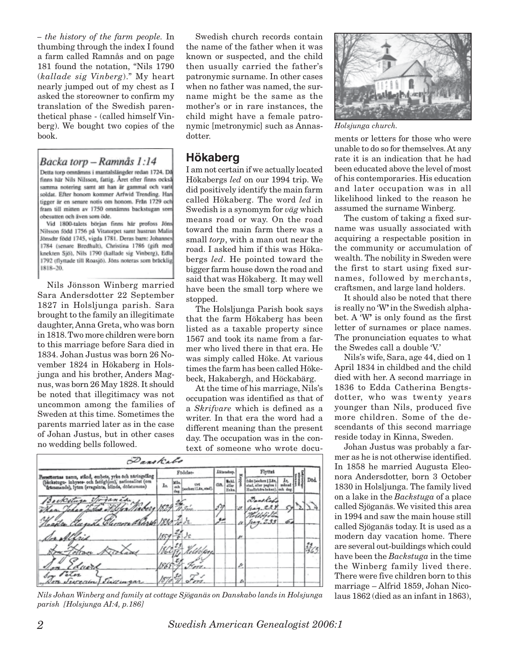*– the history of the farm people.* In thumbing through the index I found a farm called Ramnås and on page 181 found the notation, "Nils 1790 (*kallade sig Vinberg*)." My heart nearly jumped out of my chest as I asked the storeowner to confirm my translation of the Swedish parenthetical phase - (called himself Vinberg). We bought two copies of the book.

#### Backa torp – Ramnås 1:14

Detta torp omnämns i mantalslängder redan 1724. Då finns här Nils Nilsson, fattig. Året efter finns också samma notering samt att han är gammal och varit soldat. Efter honom kommer Arfwid Trending. Han tigger är en senare notis om honom. Från 1729 och fram till mitten av 1750 omnämns backstugan som obesutten och även som öde.

Vid 1800-talets början finns här profoss Jöns Nilsson född 1756 på Vitatorpet samt hustrun Malin Jönsdtr född 1745, vigda 1781. Deras barn: Johannes 1784 (senare Bredhult), Christina 1786 (gift med knekten Sjö), Nils 1790 (kallade sig Vinberg), Edla 1792 (flyttade till Roasjö). Jöns noteras som bräcklig  $1818 - 20.$ 

Nils Jönsson Winberg married Sara Andersdotter 22 September 1827 in Holsljunga parish. Sara brought to the family an illegitimate daughter, Anna Greta, who was born in 1818. Two more children were born to this marriage before Sara died in 1834. Johan Justus was born 26 November 1824 in Hökaberg in Holsjunga and his brother, Anders Magnus, was born 26 May 1828. It should be noted that illegitimacy was not uncommon among the families of Sweden at this time. Sometimes the parents married later as in the case of Johan Justus, but in other cases no wedding bells followed.

Swedish church records contain the name of the father when it was known or suspected, and the child then usually carried the father's patronymic surname. In other cases when no father was named, the surname might be the same as the mother's or in rare instances, the child might have a female patronymic [metronymic] such as Annasdotter.

#### **Hökaberg**

I am not certain if we actually located Hökabergs *led* on our 1994 trip. We did positively identify the main farm called Hökaberg. The word *led* in Swedish is a synomym for *väg* which means road or way. On the road toward the main farm there was a small *torp*, with a man out near the road. I asked him if this was Hökabergs *led*. He pointed toward the bigger farm house down the road and said that was Hökaberg. It may well have been the small torp where we stopped.

The Holsljunga Parish book says that the farm Hökaberg has been listed as a taxable property since 1567 and took its name from a farmer who lived there in that era. He was simply called Höke. At various times the farm has been called Hökebeck, Hakabergh, and Höckabärg.

At the time of his marriage, Nils's occupation was identified as that of a *Skrifvare* which is defined as a writer. In that era the word had a different meaning than the present day. The occupation was in the context of someone who wrote docu-

| Danskabe                                                                                                                                                           |          |                   |                              |            |                                                           |   |                                                                            |       |     |
|--------------------------------------------------------------------------------------------------------------------------------------------------------------------|----------|-------------------|------------------------------|------------|-----------------------------------------------------------|---|----------------------------------------------------------------------------|-------|-----|
| Personernas namn, stånd, embete, yrke och naringatlag<br>(backstugu- inhyses- och fattighjon), nationalitet (om<br>tramande), lyten (svagsints, blinds, dofstumma) | Födelse- |                   |                              | Äktenskep. |                                                           |   | Flyttat                                                                    |       |     |
|                                                                                                                                                                    | Ãв.      | Wâs<br>oc)<br>dag | Urt.<br>seeken i Lin, stad). | din.       | $\frac{\text{ReLU}}{\text{d} \text{div}}$<br><b>Moles</b> |   | feln (socken   Lin.<br>stad, eller pagina i<br>Husförhörs beken), och dag. | minad | Dod |
| ianida<br>Backsture of                                                                                                                                             |          |                   |                              | 54         |                                                           | v | Dansky                                                                     |       |     |
| General Rossel 1830 To de.                                                                                                                                         |          |                   |                              |            |                                                           |   |                                                                            | œ.    |     |
| In Alfrid                                                                                                                                                          |          |                   |                              |            |                                                           | w |                                                                            |       |     |
|                                                                                                                                                                    |          |                   |                              |            |                                                           |   |                                                                            |       |     |
| 10<br>duite                                                                                                                                                        |          |                   |                              |            |                                                           | p |                                                                            |       |     |
| Son Peter<br>Execun Succingar                                                                                                                                      | lso      |                   |                              |            |                                                           | z |                                                                            |       |     |

*Nils Johan Winberg and family at cottage Sjöganäs on Danskabo lands in Holsjunga* laus 1862 (died as an infant in 1863), *parish [Holsjunga AI:4, p.186]*



*Holsjunga church.*

ments or letters for those who were unable to do so for themselves. At any rate it is an indication that he had been educated above the level of most of his contemporaries. His education and later occupation was in all likelihood linked to the reason he assumed the surname Winberg.

The custom of taking a fixed surname was usually associated with acquiring a respectable position in the community or accumulation of wealth. The nobility in Sweden were the first to start using fixed surnames, followed by merchants, craftsmen, and large land holders.

It should also be noted that there is really no 'W**'** in the Swedish alphabet. A 'W**'** is only found as the first letter of surnames or place names. The pronunciation equates to what the Swedes call a double 'V.'

Nils's wife, Sara, age 44, died on 1 April 1834 in childbed and the child died with her. A second marriage in 1836 to Edda Catherina Bengtsdotter, who was twenty years younger than Nils, produced five more children. Some of the descendants of this second marriage reside today in Kinna, Sweden.

Johan Justus was probably a farmer as he is not otherwise identified. In 1858 he married Augusta Eleonora Andersdotter, born 3 October 1830 in Holsljunga. The family lived on a lake in the *Backstuga* of a place called Sjöganäs. We visited this area in 1994 and saw the main house still called Sjöganäs today. It is used as a modern day vacation home. There are several out-buildings which could have been the *Backstuga* in the time the Winberg family lived there. There were five children born to this marriage – Alfrid 1859, Johan Nico-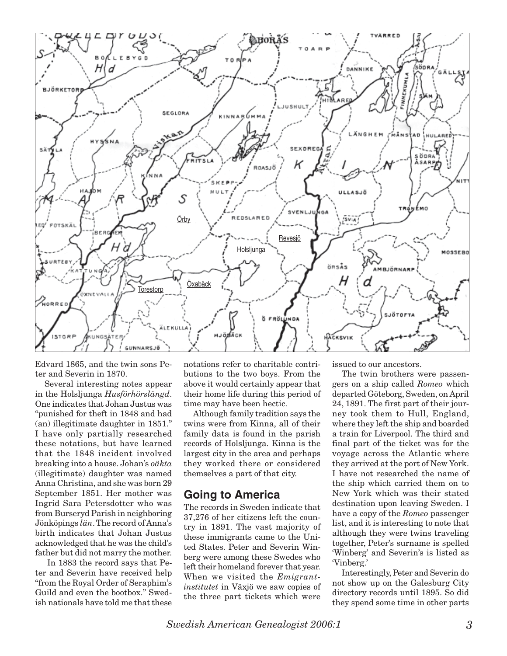

Edvard 1865, and the twin sons Peter and Severin in 1870.

Several interesting notes appear in the Holsljunga *Husförhörslängd*. One indicates that Johan Justus was "punished for theft in 1848 and had (an) illegitimate daughter in 1851." I have only partially researched these notations, but have learned that the 1848 incident involved breaking into a house. Johan's *oäkta* (illegitimate) daughter was named Anna Christina, and she was born 29 September 1851. Her mother was Ingrid Sara Petersdotter who was from Burseryd Parish in neighboring Jönköpings *län*. The record of Anna's birth indicates that Johan Justus acknowledged that he was the child's father but did not marry the mother.

 In 1883 the record says that Peter and Severin have received help "from the Royal Order of Seraphim's Guild and even the bootbox." Swedish nationals have told me that these notations refer to charitable contributions to the two boys. From the above it would certainly appear that their home life during this period of time may have been hectic.

Although family tradition says the twins were from Kinna, all of their family data is found in the parish records of Holsljunga. Kinna is the largest city in the area and perhaps they worked there or considered themselves a part of that city.

#### **Going to America**

The records in Sweden indicate that 37,276 of her citizens left the country in 1891. The vast majority of these immigrants came to the United States. Peter and Severin Winberg were among these Swedes who left their homeland forever that year. When we visited the *Emigrantinstitutet* in Växjö we saw copies of the three part tickets which were

issued to our ancestors.

The twin brothers were passengers on a ship called *Romeo* which departed Göteborg, Sweden, on April 24, 1891. The first part of their journey took them to Hull, England, where they left the ship and boarded a train for Liverpool. The third and final part of the ticket was for the voyage across the Atlantic where they arrived at the port of New York. I have not researched the name of the ship which carried them on to New York which was their stated destination upon leaving Sweden. I have a copy of the *Romeo* passenger list, and it is interesting to note that although they were twins traveling together, Peter's surname is spelled 'Winberg' and Severin's is listed as 'Vinberg.'

Interestingly, Peter and Severin do not show up on the Galesburg City directory records until 1895. So did they spend some time in other parts